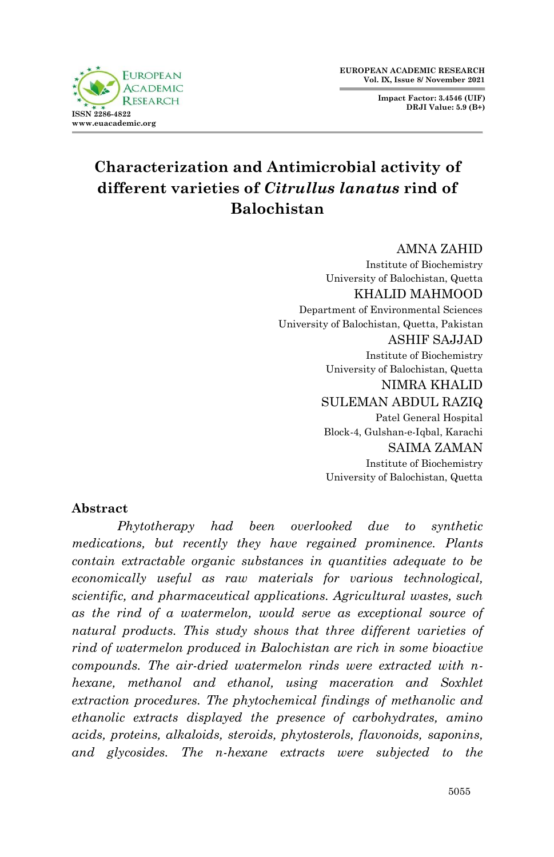**EUROPEAN ACADEMIC RESEARCH Vol. IX, Issue 8/ November 2021**

> **Impact Factor: 3.4546 (UIF) DRJI Value: 5.9 (B+)**



# **Characterization and Antimicrobial activity of different varieties of** *Citrullus lanatus* **rind of Balochistan**

AMNA ZAHID

Institute of Biochemistry University of Balochistan, Quetta KHALID MAHMOOD Department of Environmental Sciences University of Balochistan, Quetta, Pakistan ASHIF SAJJAD Institute of Biochemistry University of Balochistan, Quetta NIMRA KHALID SULEMAN ABDUL RAZIQ Patel General Hospital Block-4, Gulshan-e-Iqbal, Karachi SAIMA ZAMAN Institute of Biochemistry University of Balochistan, Quetta

# **Abstract**

*Phytotherapy had been overlooked due to synthetic medications, but recently they have regained prominence. Plants contain extractable organic substances in quantities adequate to be economically useful as raw materials for various technological, scientific, and pharmaceutical applications. Agricultural wastes, such as the rind of a watermelon, would serve as exceptional source of natural products. This study shows that three different varieties of rind of watermelon produced in Balochistan are rich in some bioactive compounds. The air-dried watermelon rinds were extracted with nhexane, methanol and ethanol, using maceration and Soxhlet extraction procedures. The phytochemical findings of methanolic and ethanolic extracts displayed the presence of carbohydrates, amino acids, proteins, alkaloids, steroids, phytosterols, flavonoids, saponins, and glycosides. The n-hexane extracts were subjected to the*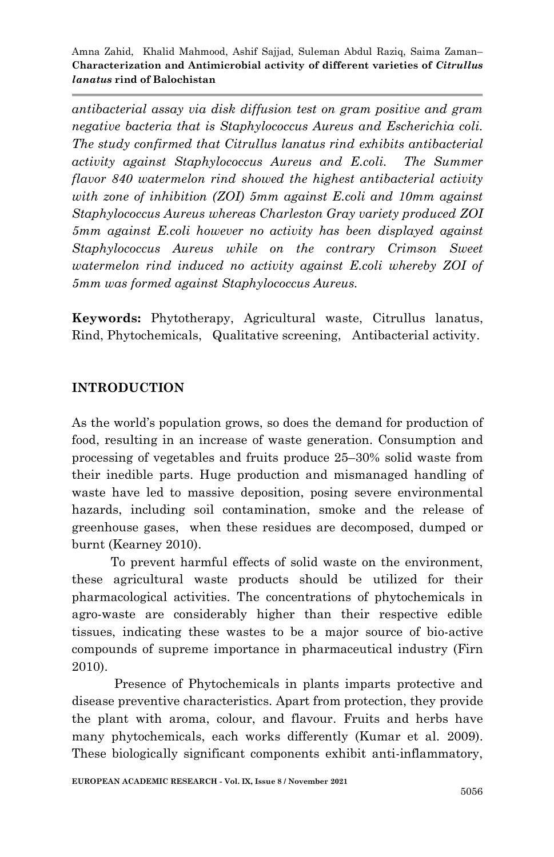*antibacterial assay via disk diffusion test on gram positive and gram negative bacteria that is Staphylococcus Aureus and Escherichia coli. The study confirmed that Citrullus lanatus rind exhibits antibacterial activity against Staphylococcus Aureus and E.coli. The Summer flavor 840 watermelon rind showed the highest antibacterial activity with zone of inhibition (ZOI) 5mm against E.coli and 10mm against Staphylococcus Aureus whereas Charleston Gray variety produced ZOI 5mm against E.coli however no activity has been displayed against Staphylococcus Aureus while on the contrary Crimson Sweet watermelon rind induced no activity against E.coli whereby ZOI of 5mm was formed against Staphylococcus Aureus.*

**Keywords:** Phytotherapy, Agricultural waste, Citrullus lanatus, Rind, Phytochemicals, Qualitative screening, Antibacterial activity.

### **INTRODUCTION**

As the world's population grows, so does the demand for production of food, resulting in an increase of waste generation. Consumption and processing of vegetables and fruits produce 25–30% solid waste from their inedible parts. Huge production and mismanaged handling of waste have led to massive deposition, posing severe environmental hazards, including soil contamination, smoke and the release of greenhouse gases, when these residues are decomposed, dumped or burnt (Kearney 2010).

 To prevent harmful effects of solid waste on the environment, these agricultural waste products should be utilized for their pharmacological activities. The concentrations of phytochemicals in agro-waste are considerably higher than their respective edible tissues, indicating these wastes to be a major source of bio-active compounds of supreme importance in pharmaceutical industry (Firn 2010).

 Presence of Phytochemicals in plants imparts protective and disease preventive characteristics. Apart from protection, they provide the plant with aroma, colour, and flavour. Fruits and herbs have many phytochemicals, each works differently (Kumar et al. 2009). These biologically significant components exhibit anti-inflammatory,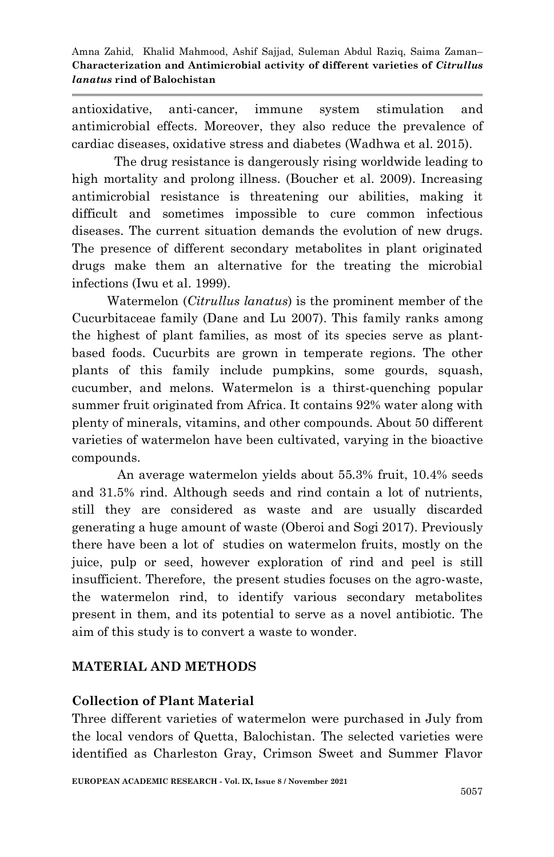antioxidative, anti-cancer, immune system stimulation and antimicrobial effects. Moreover, they also reduce the prevalence of cardiac diseases, oxidative stress and diabetes (Wadhwa et al. 2015).

 The drug resistance is dangerously rising worldwide leading to high mortality and prolong illness. (Boucher et al. 2009). Increasing antimicrobial resistance is threatening our abilities, making it difficult and sometimes impossible to cure common infectious diseases. The current situation demands the evolution of new drugs. The presence of different secondary metabolites in plant originated drugs make them an alternative for the treating the microbial infections (Iwu et al. 1999).

 Watermelon (*Citrullus lanatus*) is the prominent member of the Cucurbitaceae family (Dane and Lu 2007). This family ranks among the highest of plant families, as most of its species serve as plantbased foods. Cucurbits are grown in temperate regions. The other plants of this family include pumpkins, some gourds, squash, cucumber, and melons. Watermelon is a thirst-quenching popular summer fruit originated from Africa. It contains 92% water along with plenty of minerals, vitamins, and other compounds. About 50 different varieties of watermelon have been cultivated, varying in the bioactive compounds.

An average watermelon yields about 55.3% fruit, 10.4% seeds and 31.5% rind. Although seeds and rind contain a lot of nutrients, still they are considered as waste and are usually discarded generating a huge amount of waste (Oberoi and Sogi 2017). Previously there have been a lot of studies on watermelon fruits, mostly on the juice, pulp or seed, however exploration of rind and peel is still insufficient. Therefore, the present studies focuses on the agro-waste, the watermelon rind, to identify various secondary metabolites present in them, and its potential to serve as a novel antibiotic. The aim of this study is to convert a waste to wonder.

# **MATERIAL AND METHODS**

# **Collection of Plant Material**

Three different varieties of watermelon were purchased in July from the local vendors of Quetta, Balochistan. The selected varieties were identified as Charleston Gray, Crimson Sweet and Summer Flavor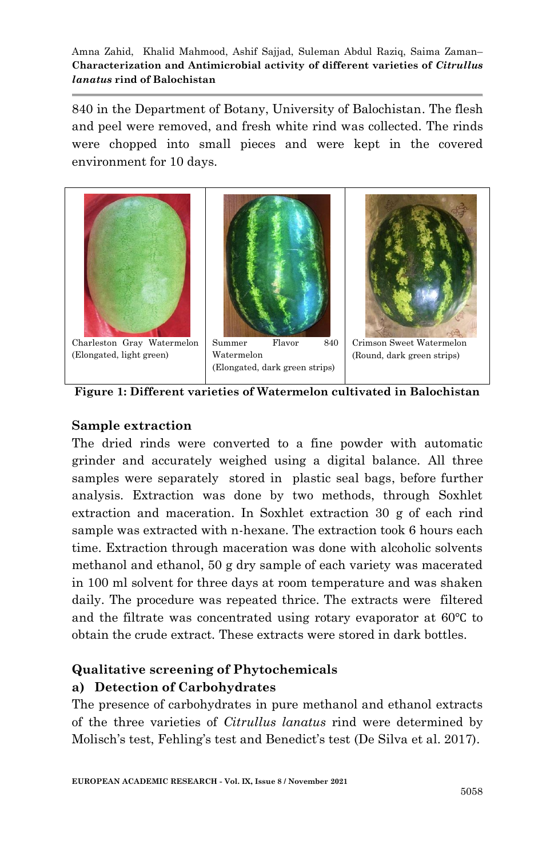840 in the Department of Botany, University of Balochistan. The flesh and peel were removed, and fresh white rind was collected. The rinds were chopped into small pieces and were kept in the covered environment for 10 days.



**Figure 1: Different varieties of Watermelon cultivated in Balochistan**

## **Sample extraction**

The dried rinds were converted to a fine powder with automatic grinder and accurately weighed using a digital balance. All three samples were separately stored in plastic seal bags, before further analysis. Extraction was done by two methods, through Soxhlet extraction and maceration. In Soxhlet extraction 30 g of each rind sample was extracted with n-hexane. The extraction took 6 hours each time. Extraction through maceration was done with alcoholic solvents methanol and ethanol, 50 g dry sample of each variety was macerated in 100 ml solvent for three days at room temperature and was shaken daily. The procedure was repeated thrice. The extracts were filtered and the filtrate was concentrated using rotary evaporator at 60℃ to obtain the crude extract. These extracts were stored in dark bottles.

# **Qualitative screening of Phytochemicals**

### **a) Detection of Carbohydrates**

The presence of carbohydrates in pure methanol and ethanol extracts of the three varieties of *Citrullus lanatus* rind were determined by Molisch's test, Fehling's test and Benedict's test (De Silva et al. 2017).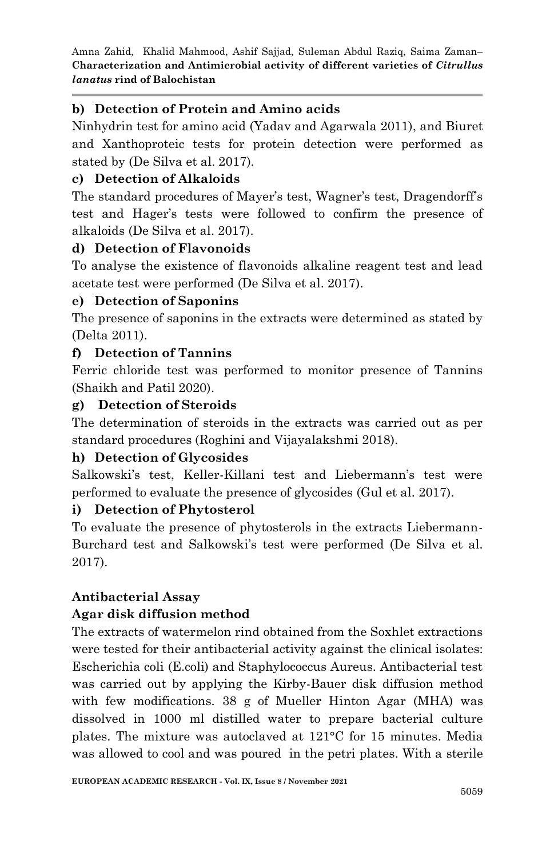# **b) Detection of Protein and Amino acids**

Ninhydrin test for amino acid (Yadav and Agarwala 2011), and Biuret and Xanthoproteic tests for protein detection were performed as stated by (De Silva et al. 2017).

# **c) Detection of Alkaloids**

The standard procedures of Mayer's test, Wagner's test, Dragendorff's test and Hager's tests were followed to confirm the presence of alkaloids (De Silva et al. 2017).

# **d) Detection of Flavonoids**

To analyse the existence of flavonoids alkaline reagent test and lead acetate test were performed (De Silva et al. 2017).

# **e) Detection of Saponins**

The presence of saponins in the extracts were determined as stated by (Delta 2011).

# **f) Detection of Tannins**

Ferric chloride test was performed to monitor presence of Tannins (Shaikh and Patil 2020).

## **g) Detection of Steroids**

The determination of steroids in the extracts was carried out as per standard procedures (Roghini and Vijayalakshmi 2018).

# **h) Detection of Glycosides**

Salkowski's test, Keller-Killani test and Liebermann's test were performed to evaluate the presence of glycosides (Gul et al. 2017).

# **i) Detection of Phytosterol**

To evaluate the presence of phytosterols in the extracts Liebermann-Burchard test and Salkowski's test were performed (De Silva et al. 2017).

# **Antibacterial Assay**

# **Agar disk diffusion method**

The extracts of watermelon rind obtained from the Soxhlet extractions were tested for their antibacterial activity against the clinical isolates: Escherichia coli (E.coli) and Staphylococcus Aureus. Antibacterial test was carried out by applying the Kirby-Bauer disk diffusion method with few modifications. 38 g of Mueller Hinton Agar (MHA) was dissolved in 1000 ml distilled water to prepare bacterial culture plates. The mixture was autoclaved at 121°C for 15 minutes. Media was allowed to cool and was poured in the petri plates. With a sterile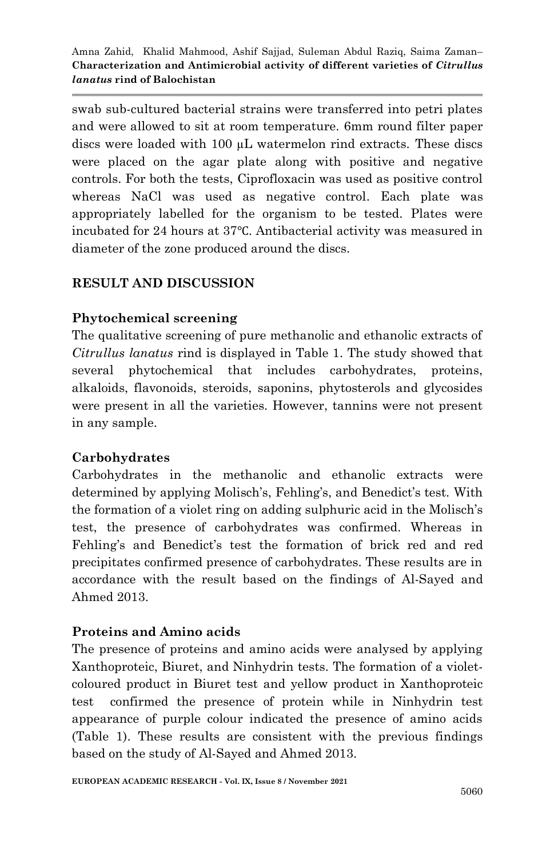swab sub-cultured bacterial strains were transferred into petri plates and were allowed to sit at room temperature. 6mm round filter paper discs were loaded with 100 µL watermelon rind extracts. These discs were placed on the agar plate along with positive and negative controls. For both the tests, Ciprofloxacin was used as positive control whereas NaCl was used as negative control. Each plate was appropriately labelled for the organism to be tested. Plates were incubated for 24 hours at 37℃. Antibacterial activity was measured in diameter of the zone produced around the discs.

# **RESULT AND DISCUSSION**

## **Phytochemical screening**

The qualitative screening of pure methanolic and ethanolic extracts of *Citrullus lanatus* rind is displayed in Table 1. The study showed that several phytochemical that includes carbohydrates, proteins, alkaloids, flavonoids, steroids, saponins, phytosterols and glycosides were present in all the varieties. However, tannins were not present in any sample.

# **Carbohydrates**

Carbohydrates in the methanolic and ethanolic extracts were determined by applying Molisch's, Fehling's, and Benedict's test. With the formation of a violet ring on adding sulphuric acid in the Molisch's test, the presence of carbohydrates was confirmed. Whereas in Fehling's and Benedict's test the formation of brick red and red precipitates confirmed presence of carbohydrates. These results are in accordance with the result based on the findings of Al-Sayed and Ahmed 2013.

# **Proteins and Amino acids**

The presence of proteins and amino acids were analysed by applying Xanthoproteic, Biuret, and Ninhydrin tests. The formation of a violetcoloured product in Biuret test and yellow product in Xanthoproteic test confirmed the presence of protein while in Ninhydrin test appearance of purple colour indicated the presence of amino acids (Table 1). These results are consistent with the previous findings based on the study of Al-Sayed and Ahmed 2013.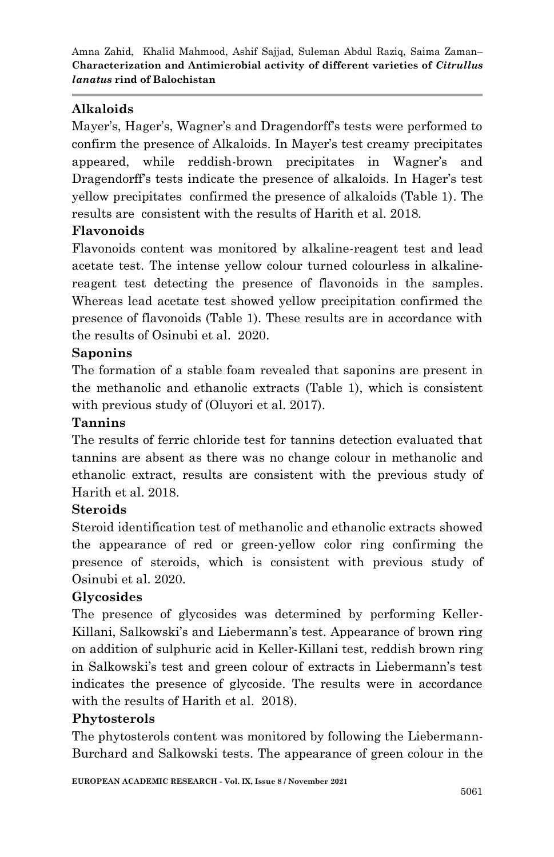# **Alkaloids**

Mayer's, Hager's, Wagner's and Dragendorff's tests were performed to confirm the presence of Alkaloids. In Mayer's test creamy precipitates appeared, while reddish-brown precipitates in Wagner's and Dragendorff's tests indicate the presence of alkaloids. In Hager's test yellow precipitates confirmed the presence of alkaloids (Table 1). The results are consistent with the results of Harith et al. 2018.

# **Flavonoids**

Flavonoids content was monitored by alkaline-reagent test and lead acetate test. The intense yellow colour turned colourless in alkalinereagent test detecting the presence of flavonoids in the samples. Whereas lead acetate test showed yellow precipitation confirmed the presence of flavonoids (Table 1). These results are in accordance with the results of Osinubi et al. 2020.

# **Saponins**

The formation of a stable foam revealed that saponins are present in the methanolic and ethanolic extracts (Table 1), which is consistent with previous study of (Oluyori et al. 2017).

### **Tannins**

The results of ferric chloride test for tannins detection evaluated that tannins are absent as there was no change colour in methanolic and ethanolic extract, results are consistent with the previous study of Harith et al. 2018.

# **Steroids**

Steroid identification test of methanolic and ethanolic extracts showed the appearance of red or green-yellow color ring confirming the presence of steroids, which is consistent with previous study of Osinubi et al. 2020.

# **Glycosides**

The presence of glycosides was determined by performing Keller-Killani, Salkowski's and Liebermann's test. Appearance of brown ring on addition of sulphuric acid in Keller-Killani test, reddish brown ring in Salkowski's test and green colour of extracts in Liebermann's test indicates the presence of glycoside. The results were in accordance with the results of Harith et al. 2018).

### **Phytosterols**

The phytosterols content was monitored by following the Liebermann-Burchard and Salkowski tests. The appearance of green colour in the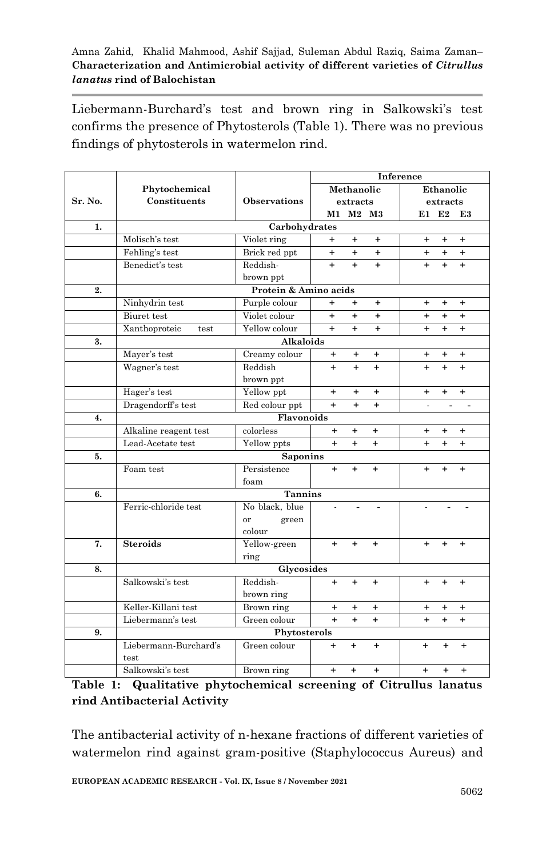Liebermann-Burchard's test and brown ring in Salkowski's test confirms the presence of Phytosterols (Table 1). There was no previous findings of phytosterols in watermelon rind.

|         |                       |                        | Inference  |           |           |           |           |           |  |
|---------|-----------------------|------------------------|------------|-----------|-----------|-----------|-----------|-----------|--|
|         | Phytochemical         |                        | Methanolic |           | Ethanolic |           |           |           |  |
| Sr. No. | Constituents          | <b>Observations</b>    | extracts   |           |           | extracts  |           |           |  |
|         |                       |                        |            | M1 M2 M3  |           |           | $E1$ E2   | E3        |  |
| 1.      | Carbohydrates         |                        |            |           |           |           |           |           |  |
|         | Molisch's test        | Violet ring            | $\ddot{}$  | $\ddot{}$ | $\ddot{}$ | $\ddot{}$ | $+$       | $\ddot{}$ |  |
|         | Fehling's test        | Brick red ppt          | $+$        | $\ddot{}$ | $+$       | $\ddot{}$ | $+$       | $+$       |  |
|         | Benedict's test       | Reddish-               | $+$        | $+$       | $+$       | $+$       | $\ddot{}$ | $+$       |  |
|         |                       | brown ppt              |            |           |           |           |           |           |  |
| 2.      | Protein & Amino acids |                        |            |           |           |           |           |           |  |
|         | Ninhydrin test        | Purple colour          | $+$        | $+$       | $\ddot{}$ | $\ddot{}$ | $\ddot{}$ | $\ddot{}$ |  |
|         | Biuret test           | Violet colour          | $\ddot{+}$ | $\ddot{}$ | $+$       | $+$       | $+$       | $\ddot{}$ |  |
|         | Xanthoproteic<br>test | Yellow colour          | $+$        | $+$       | $+$       | $\ddot{}$ | $\ddot{}$ | $^{+}$    |  |
| 3.      | Alkaloids             |                        |            |           |           |           |           |           |  |
|         | Mayer's test          | Creamy colour          | +          | +         | $\ddot{}$ | +         | $\ddot{}$ | $\ddot{}$ |  |
|         | Wagner's test         | Reddish                | $\ddot{}$  | $\ddot{}$ | $+$       | $\ddot{}$ | $\ddot{}$ | $+$       |  |
|         |                       | brown ppt              |            |           |           |           |           |           |  |
|         | Hager's test          | Yellow ppt             | $\ddot{}$  | $\ddot{}$ | $\ddot{}$ | $\ddot{}$ | $\ddot{}$ | $+$       |  |
|         | Dragendorff's test    | Red colour ppt         | $\ddot{}$  | $\ddot{}$ | $\ddot{}$ |           |           |           |  |
| 4.      |                       | Flavonoids             |            |           |           |           |           |           |  |
|         | Alkaline reagent test | colorless              | $\ddot{}$  | $\ddot{}$ | $\ddot{}$ | $\ddot{}$ | $\ddot{}$ | $+$       |  |
|         | Lead-Acetate test     | Yellow ppts            | $+$        | $^{+}$    | $\ddot{}$ | $\ddot{}$ | $\ddot{}$ | $\ddot{}$ |  |
| 5.      |                       | <b>Saponins</b>        |            |           |           |           |           |           |  |
|         | Foam test             | Persistence            | $\ddot{}$  | $\ddot{}$ | $\ddot{}$ | $\ddot{}$ | $\ddot{}$ | $\ddot{}$ |  |
|         |                       | foam                   |            |           |           |           |           |           |  |
| 6.      | <b>Tannins</b>        |                        |            |           |           |           |           |           |  |
|         | Ferric-chloride test  | No black, blue         |            |           |           |           |           |           |  |
|         |                       | green<br><sub>or</sub> |            |           |           |           |           |           |  |
|         |                       | colour                 |            |           |           |           |           |           |  |
| 7.      | <b>Steroids</b>       | Yellow-green           | $+$        | $\ddot{}$ | $\ddot{}$ | $+$       | ÷         | $\ddot{}$ |  |
|         |                       | ring                   |            |           |           |           |           |           |  |
| 8.      | Glycosides            |                        |            |           |           |           |           |           |  |
|         | Salkowski's test      | Reddish-               | $+$        | $\ddot{}$ | $\ddot{}$ | $\ddot{}$ | $\ddot{}$ | $+$       |  |
|         |                       | brown ring             |            |           |           |           |           |           |  |
|         | Keller-Killani test   | Brown ring             | $+$        | $\ddot{}$ | $+$       | $\ddot{}$ | $\ddot{}$ | $\ddot{}$ |  |
|         | Liebermann's test     | Green colour           | $+$        | $+$       | $\ddot{}$ | $\ddot{}$ | $\ddot{}$ | $\ddot{}$ |  |
| 9.      |                       | Phytosterols           |            |           |           |           |           |           |  |
|         | Liebermann-Burchard's | Green colour           | $\ddot{}$  | $\ddot{}$ | $\ddot{}$ | $\ddot{}$ | $\ddot{}$ | $\ddot{}$ |  |
|         | test                  |                        |            |           |           |           |           |           |  |
|         | Salkowski's test      | Brown ring             | $+$        | $+$       | $\ddot{}$ | $+$       | $+$       | $\ddot{}$ |  |

# **Table 1: Qualitative phytochemical screening of Citrullus lanatus rind Antibacterial Activity**

The antibacterial activity of n-hexane fractions of different varieties of watermelon rind against gram-positive (Staphylococcus Aureus) and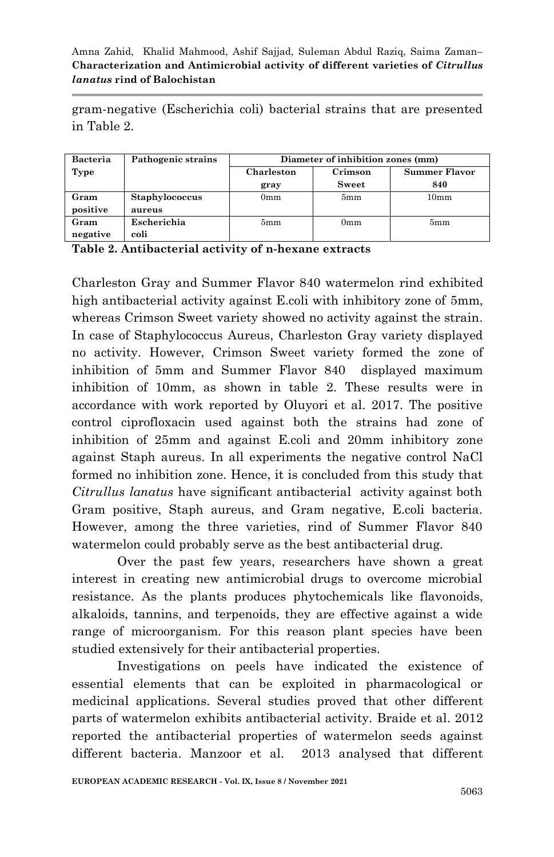gram-negative (Escherichia coli) bacterial strains that are presented in Table 2.

| <b>Bacteria</b> | Pathogenic strains | Diameter of inhibition zones (mm) |                 |                      |  |  |  |
|-----------------|--------------------|-----------------------------------|-----------------|----------------------|--|--|--|
| Type            |                    | Charleston                        | Crimson         | <b>Summer Flavor</b> |  |  |  |
|                 |                    | gray                              | Sweet           | 840                  |  |  |  |
| Gram            | Staphylococcus     | 0 <sub>mm</sub>                   | 5mm             | 10mm                 |  |  |  |
| positive        | aureus             |                                   |                 |                      |  |  |  |
| Gram            | Escherichia        | 5mm                               | 0 <sub>mm</sub> | 5mm                  |  |  |  |
| negative        | coli               |                                   |                 |                      |  |  |  |

**Table 2. Antibacterial activity of n-hexane extracts**

Charleston Gray and Summer Flavor 840 watermelon rind exhibited high antibacterial activity against E.coli with inhibitory zone of 5mm, whereas Crimson Sweet variety showed no activity against the strain. In case of Staphylococcus Aureus, Charleston Gray variety displayed no activity. However, Crimson Sweet variety formed the zone of inhibition of 5mm and Summer Flavor 840 displayed maximum inhibition of 10mm, as shown in table 2. These results were in accordance with work reported by Oluyori et al. 2017. The positive control ciprofloxacin used against both the strains had zone of inhibition of 25mm and against E.coli and 20mm inhibitory zone against Staph aureus. In all experiments the negative control NaCl formed no inhibition zone. Hence, it is concluded from this study that *Citrullus lanatus* have significant antibacterial activity against both Gram positive, Staph aureus, and Gram negative, E.coli bacteria. However, among the three varieties, rind of Summer Flavor 840 watermelon could probably serve as the best antibacterial drug.

Over the past few years, researchers have shown a great interest in creating new antimicrobial drugs to overcome microbial resistance. As the plants produces phytochemicals like flavonoids, alkaloids, tannins, and terpenoids, they are effective against a wide range of microorganism. For this reason plant species have been studied extensively for their antibacterial properties.

Investigations on peels have indicated the existence of essential elements that can be exploited in pharmacological or medicinal applications. Several studies proved that other different parts of watermelon exhibits antibacterial activity. Braide et al. 2012 reported the antibacterial properties of watermelon seeds against different bacteria. Manzoor et al. 2013 analysed that different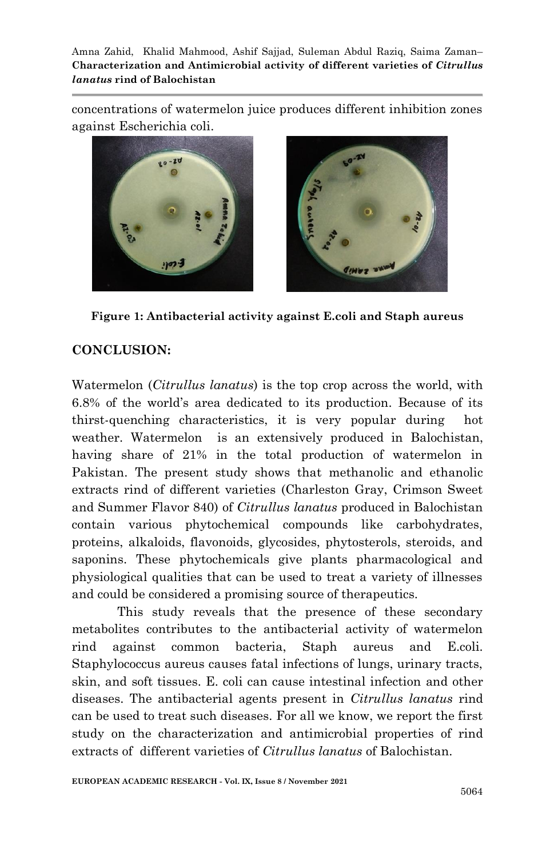concentrations of watermelon juice produces different inhibition zones against Escherichia coli.



**Figure 1: Antibacterial activity against E.coli and Staph aureus**

# **CONCLUSION:**

Watermelon (*Citrullus lanatus*) is the top crop across the world, with 6.8% of the world's area dedicated to its production. Because of its thirst-quenching characteristics, it is very popular during hot weather. Watermelon is an extensively produced in Balochistan, having share of 21% in the total production of watermelon in Pakistan. The present study shows that methanolic and ethanolic extracts rind of different varieties (Charleston Gray, Crimson Sweet and Summer Flavor 840) of *Citrullus lanatus* produced in Balochistan contain various phytochemical compounds like carbohydrates, proteins, alkaloids, flavonoids, glycosides, phytosterols, steroids, and saponins. These phytochemicals give plants pharmacological and physiological qualities that can be used to treat a variety of illnesses and could be considered a promising source of therapeutics.

This study reveals that the presence of these secondary metabolites contributes to the antibacterial activity of watermelon rind against common bacteria, Staph aureus and E.coli. Staphylococcus aureus causes fatal infections of lungs, urinary tracts, skin, and soft tissues. E. coli can cause intestinal infection and other diseases. The antibacterial agents present in *Citrullus lanatus* rind can be used to treat such diseases. For all we know, we report the first study on the characterization and antimicrobial properties of rind extracts of different varieties of *Citrullus lanatus* of Balochistan.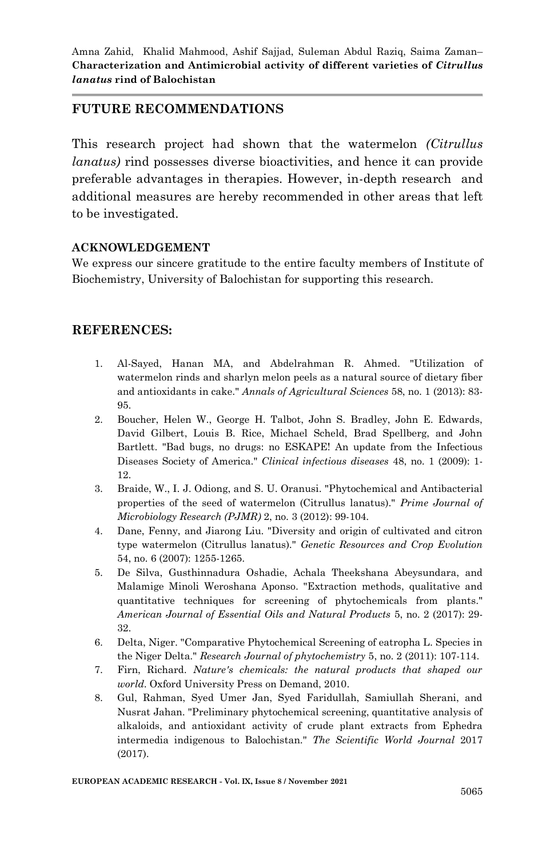## **FUTURE RECOMMENDATIONS**

This research project had shown that the watermelon *(Citrullus lanatus)* rind possesses diverse bioactivities, and hence it can provide preferable advantages in therapies. However, in-depth research and additional measures are hereby recommended in other areas that left to be investigated.

#### **ACKNOWLEDGEMENT**

We express our sincere gratitude to the entire faculty members of Institute of Biochemistry, University of Balochistan for supporting this research.

## **REFERENCES:**

- 1. Al-Sayed, Hanan MA, and Abdelrahman R. Ahmed. "Utilization of watermelon rinds and sharlyn melon peels as a natural source of dietary fiber and antioxidants in cake." *Annals of Agricultural Sciences* 58, no. 1 (2013): 83- 95.
- 2. Boucher, Helen W., George H. Talbot, John S. Bradley, John E. Edwards, David Gilbert, Louis B. Rice, Michael Scheld, Brad Spellberg, and John Bartlett. "Bad bugs, no drugs: no ESKAPE! An update from the Infectious Diseases Society of America." *Clinical infectious diseases* 48, no. 1 (2009): 1- 12.
- 3. Braide, W., I. J. Odiong, and S. U. Oranusi. "Phytochemical and Antibacterial properties of the seed of watermelon (Citrullus lanatus)." *Prime Journal of Microbiology Research (PJMR)* 2, no. 3 (2012): 99-104.
- 4. Dane, Fenny, and Jiarong Liu. "Diversity and origin of cultivated and citron type watermelon (Citrullus lanatus)." *Genetic Resources and Crop Evolution* 54, no. 6 (2007): 1255-1265.
- 5. De Silva, Gusthinnadura Oshadie, Achala Theekshana Abeysundara, and Malamige Minoli Weroshana Aponso. "Extraction methods, qualitative and quantitative techniques for screening of phytochemicals from plants." *American Journal of Essential Oils and Natural Products* 5, no. 2 (2017): 29- 32.
- 6. Delta, Niger. "Comparative Phytochemical Screening of eatropha L. Species in the Niger Delta." *Research Journal of phytochemistry* 5, no. 2 (2011): 107-114.
- 7. Firn, Richard. *Nature's chemicals: the natural products that shaped our world*. Oxford University Press on Demand, 2010.
- 8. Gul, Rahman, Syed Umer Jan, Syed Faridullah, Samiullah Sherani, and Nusrat Jahan. "Preliminary phytochemical screening, quantitative analysis of alkaloids, and antioxidant activity of crude plant extracts from Ephedra intermedia indigenous to Balochistan." *The Scientific World Journal* 2017 (2017).